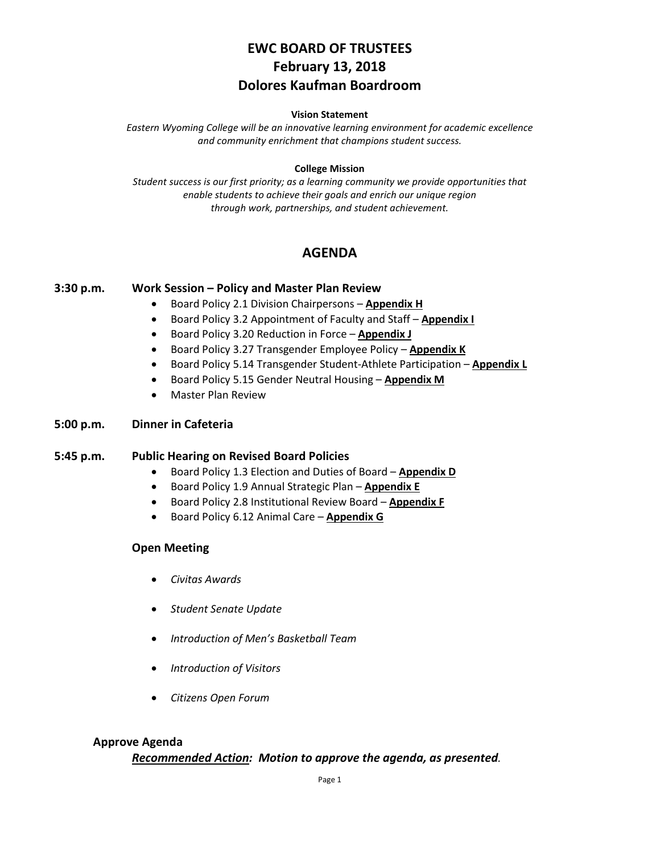# **EWC BOARD OF TRUSTEES February 13, 2018 Dolores Kaufman Boardroom**

#### **Vision Statement**

*Eastern Wyoming College will be an innovative learning environment for academic excellence and community enrichment that champions student success.*

#### **College Mission**

*Student success is our first priority; as a learning community we provide opportunities that enable students to achieve their goals and enrich our unique region through work, partnerships, and student achievement.*

# **AGENDA**

#### **3:30 p.m. Work Session – Policy and Master Plan Review**

- Board Policy 2.1 Division Chairpersons **Appendix H**
- Board Policy 3.2 Appointment of Faculty and Staff **Appendix I**
- Board Policy 3.20 Reduction in Force **Appendix J**
- Board Policy 3.27 Transgender Employee Policy **Appendix K**
- Board Policy 5.14 Transgender Student-Athlete Participation **Appendix L**
- Board Policy 5.15 Gender Neutral Housing **Appendix M**
- Master Plan Review

#### **5:00 p.m. Dinner in Cafeteria**

#### **5:45 p.m. Public Hearing on Revised Board Policies**

- Board Policy 1.3 Election and Duties of Board **Appendix D**
- Board Policy 1.9 Annual Strategic Plan **Appendix E**
- Board Policy 2.8 Institutional Review Board **Appendix F**
- Board Policy 6.12 Animal Care **Appendix G**

#### **Open Meeting**

- *Civitas Awards*
- *Student Senate Update*
- *Introduction of Men's Basketball Team*
- *Introduction of Visitors*
- *Citizens Open Forum*

#### **Approve Agenda**

#### *Recommended Action: Motion to approve the agenda, as presented.*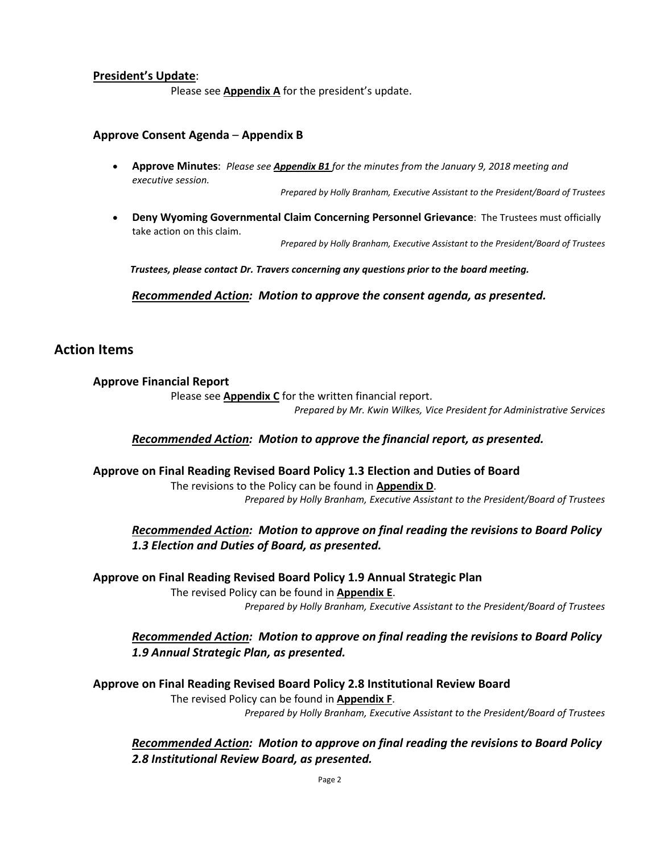#### **President's Update**:

Please see **Appendix A** for the president's update.

#### **Approve Consent Agenda** – **Appendix B**

• **Approve Minutes**: *Please see Appendix B1 for the minutes from the January 9, 2018 meeting and executive session.*

*Prepared by Holly Branham, Executive Assistant to the President/Board of Trustees*

• **Deny Wyoming Governmental Claim Concerning Personnel Grievance**: The Trustees must officially take action on this claim.

*Prepared by Holly Branham, Executive Assistant to the President/Board of Trustees*

*Trustees, please contact Dr. Travers concerning any questions prior to the board meeting.*

*Recommended Action: Motion to approve the consent agenda, as presented.*

# **Action Items**

**Approve Financial Report**

Please see **Appendix C** for the written financial report. *Prepared by Mr. Kwin Wilkes, Vice President for Administrative Services*

*Recommended Action: Motion to approve the financial report, as presented.*

### **Approve on Final Reading Revised Board Policy 1.3 Election and Duties of Board**

The revisions to the Policy can be found in **Appendix D**. *Prepared by Holly Branham, Executive Assistant to the President/Board of Trustees*

*Recommended Action: Motion to approve on final reading the revisions to Board Policy 1.3 Election and Duties of Board, as presented.*

**Approve on Final Reading Revised Board Policy 1.9 Annual Strategic Plan**

The revised Policy can be found in **Appendix E**. *Prepared by Holly Branham, Executive Assistant to the President/Board of Trustees*

*Recommended Action: Motion to approve on final reading the revisions to Board Policy 1.9 Annual Strategic Plan, as presented.*

**Approve on Final Reading Revised Board Policy 2.8 Institutional Review Board** The revised Policy can be found in **Appendix F**.

*Prepared by Holly Branham, Executive Assistant to the President/Board of Trustees*

*Recommended Action: Motion to approve on final reading the revisions to Board Policy 2.8 Institutional Review Board, as presented.*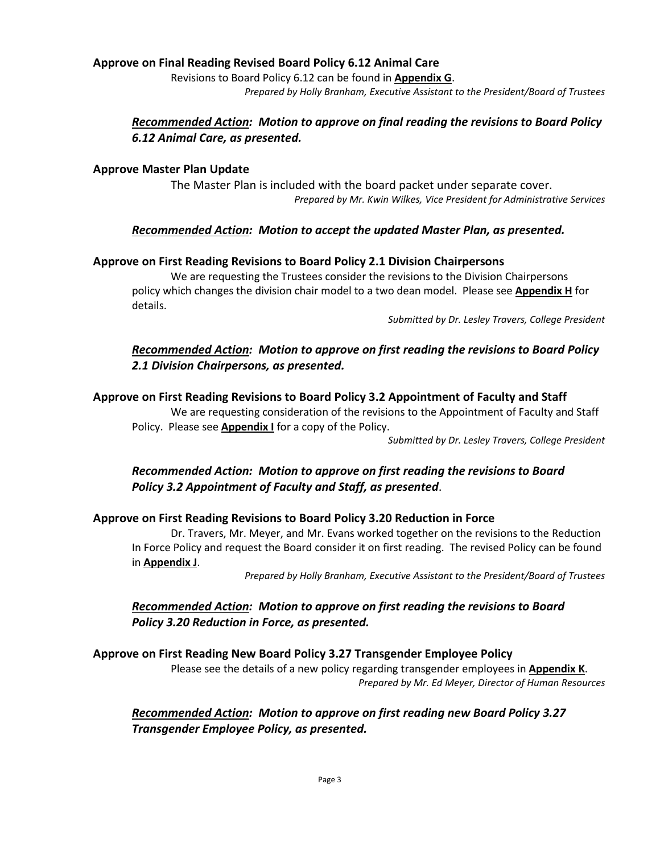### **Approve on Final Reading Revised Board Policy 6.12 Animal Care**

Revisions to Board Policy 6.12 can be found in **Appendix G**.

*Prepared by Holly Branham, Executive Assistant to the President/Board of Trustees*

# *Recommended Action: Motion to approve on final reading the revisions to Board Policy 6.12 Animal Care, as presented.*

### **Approve Master Plan Update**

The Master Plan is included with the board packet under separate cover. *Prepared by Mr. Kwin Wilkes, Vice President for Administrative Services*

### *Recommended Action: Motion to accept the updated Master Plan, as presented.*

### **Approve on First Reading Revisions to Board Policy 2.1 Division Chairpersons**

We are requesting the Trustees consider the revisions to the Division Chairpersons policy which changes the division chair model to a two dean model. Please see **Appendix H** for details.

*Submitted by Dr. Lesley Travers, College President*

# *Recommended Action: Motion to approve on first reading the revisions to Board Policy 2.1 Division Chairpersons, as presented.*

### **Approve on First Reading Revisions to Board Policy 3.2 Appointment of Faculty and Staff**

We are requesting consideration of the revisions to the Appointment of Faculty and Staff Policy. Please see **Appendix I** for a copy of the Policy.

*Submitted by Dr. Lesley Travers, College President*

# *Recommended Action: Motion to approve on first reading the revisions to Board Policy 3.2 Appointment of Faculty and Staff, as presented*.

### **Approve on First Reading Revisions to Board Policy 3.20 Reduction in Force**

Dr. Travers, Mr. Meyer, and Mr. Evans worked together on the revisions to the Reduction In Force Policy and request the Board consider it on first reading. The revised Policy can be found in **Appendix J**.

*Prepared by Holly Branham, Executive Assistant to the President/Board of Trustees*

### *Recommended Action: Motion to approve on first reading the revisions to Board Policy 3.20 Reduction in Force, as presented.*

### **Approve on First Reading New Board Policy 3.27 Transgender Employee Policy**

Please see the details of a new policy regarding transgender employees in **Appendix K**. *Prepared by Mr. Ed Meyer, Director of Human Resources*

### *Recommended Action: Motion to approve on first reading new Board Policy 3.27 Transgender Employee Policy, as presented.*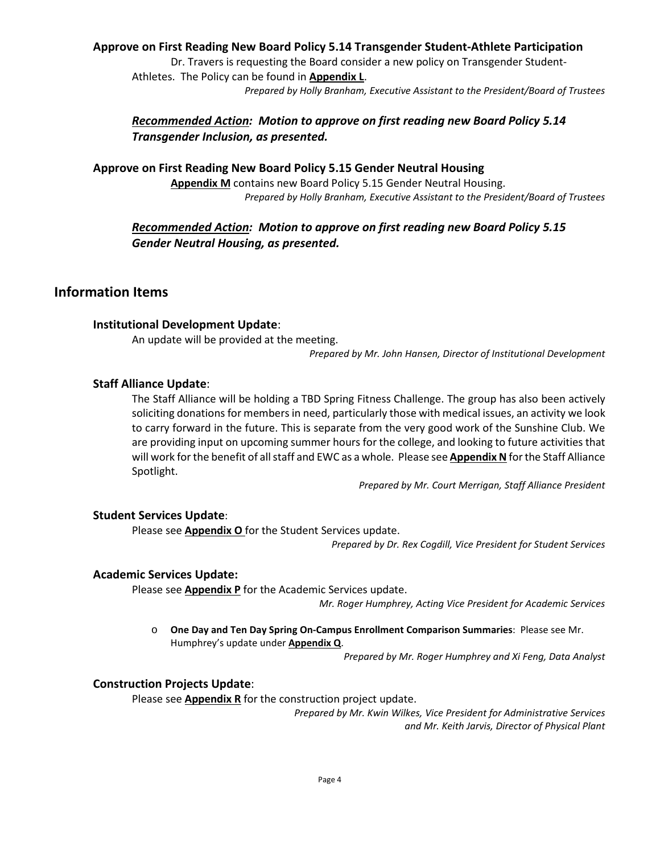### **Approve on First Reading New Board Policy 5.14 Transgender Student-Athlete Participation**

Dr. Travers is requesting the Board consider a new policy on Transgender Student-Athletes. The Policy can be found in **Appendix L**. *Prepared by Holly Branham, Executive Assistant to the President/Board of Trustees*

# *Recommended Action: Motion to approve on first reading new Board Policy 5.14 Transgender Inclusion, as presented.*

**Approve on First Reading New Board Policy 5.15 Gender Neutral Housing Appendix M** contains new Board Policy 5.15 Gender Neutral Housing. *Prepared by Holly Branham, Executive Assistant to the President/Board of Trustees*

# *Recommended Action: Motion to approve on first reading new Board Policy 5.15 Gender Neutral Housing, as presented.*

# **Information Items**

#### **Institutional Development Update**:

An update will be provided at the meeting.

*Prepared by Mr. John Hansen, Director of Institutional Development*

#### **Staff Alliance Update**:

The Staff Alliance will be holding a TBD Spring Fitness Challenge. The group has also been actively soliciting donations for members in need, particularly those with medical issues, an activity we look to carry forward in the future. This is separate from the very good work of the Sunshine Club. We are providing input on upcoming summer hours for the college, and looking to future activities that will work for the benefit of all staff and EWC as a whole. Please see **Appendix N** for the Staff Alliance Spotlight.

*Prepared by Mr. Court Merrigan, Staff Alliance President*

#### **Student Services Update**:

Please see **Appendix O** for the Student Services update.

*Prepared by Dr. Rex Cogdill, Vice President for Student Services*

#### **Academic Services Update:**

Please see **Appendix P** for the Academic Services update.

*Mr. Roger Humphrey, Acting Vice President for Academic Services*

o **One Day and Ten Day Spring On-Campus Enrollment Comparison Summaries**: Please see Mr. Humphrey's update under **Appendix Q**.

*Prepared by Mr. Roger Humphrey and Xi Feng, Data Analyst*

#### **Construction Projects Update**:

Please see **Appendix R** for the construction project update.

*Prepared by Mr. Kwin Wilkes, Vice President for Administrative Services and Mr. Keith Jarvis, Director of Physical Plant*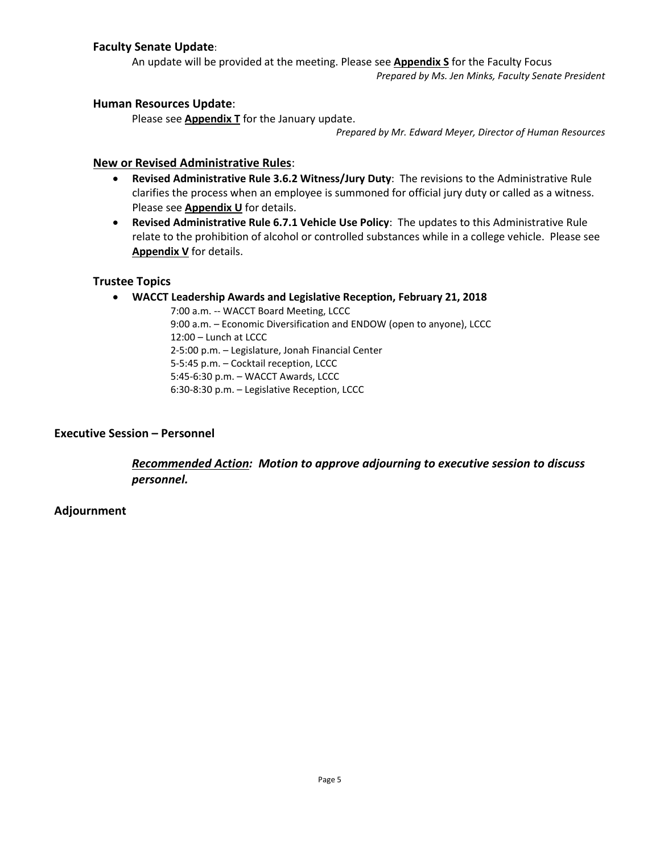### **Faculty Senate Update**:

An update will be provided at the meeting. Please see **Appendix S** for the Faculty Focus *Prepared by Ms. Jen Minks, Faculty Senate President*

### **Human Resources Update**:

Please see **Appendix T** for the January update.

*Prepared by Mr. Edward Meyer, Director of Human Resources*

### **New or Revised Administrative Rules**:

- **Revised Administrative Rule 3.6.2 Witness/Jury Duty**: The revisions to the Administrative Rule clarifies the process when an employee is summoned for official jury duty or called as a witness. Please see **Appendix U** for details.
- **Revised Administrative Rule 6.7.1 Vehicle Use Policy**: The updates to this Administrative Rule relate to the prohibition of alcohol or controlled substances while in a college vehicle. Please see **Appendix V** for details.

### **Trustee Topics**

### • **WACCT Leadership Awards and Legislative Reception, February 21, 2018**

7:00 a.m. -- WACCT Board Meeting, LCCC 9:00 a.m. – Economic Diversification and ENDOW (open to anyone), LCCC 12:00 – Lunch at LCCC 2-5:00 p.m. – Legislature, Jonah Financial Center 5-5:45 p.m. – Cocktail reception, LCCC 5:45-6:30 p.m. – WACCT Awards, LCCC 6:30-8:30 p.m. – Legislative Reception, LCCC

### **Executive Session – Personnel**

*Recommended Action: Motion to approve adjourning to executive session to discuss personnel.*

### **Adjournment**